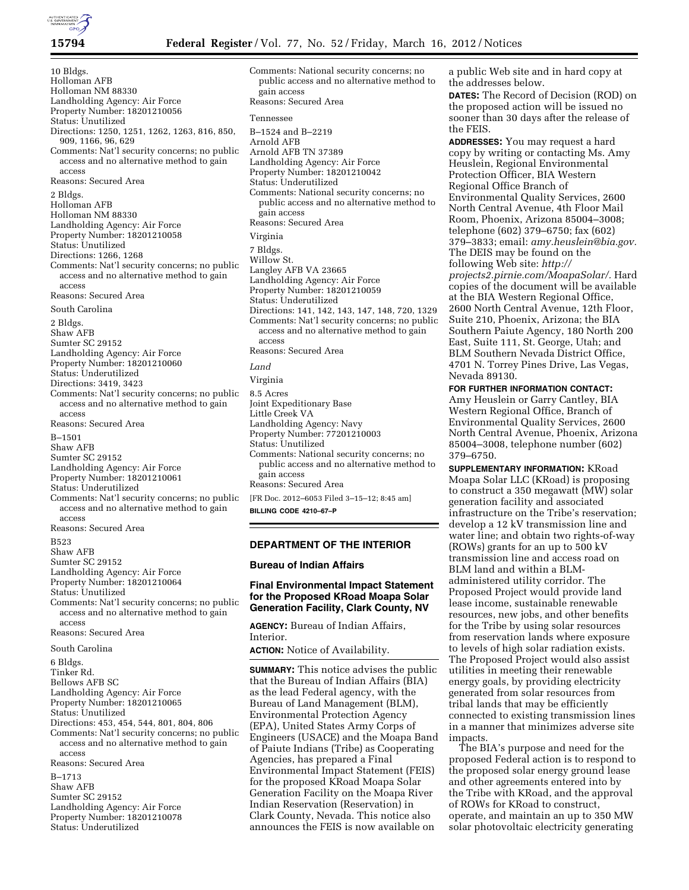10 Bldgs. Holloman AFB Holloman NM 88330 Landholding Agency: Air Force Property Number: 18201210056 Status: Unutilized Directions: 1250, 1251, 1262, 1263, 816, 850, 909, 1166, 96, 629 Comments: Nat'l security concerns; no public access and no alternative method to gain access Reasons: Secured Area 2 Bldgs. Holloman AFB Holloman NM 88330 Landholding Agency: Air Force Property Number: 18201210058 Status: Unutilized Directions: 1266, 1268 Comments: Nat'l security concerns; no public access and no alternative method to gain access Reasons: Secured Area South Carolina 2 Bldgs. Shaw AFB Sumter SC 29152 Landholding Agency: Air Force Property Number: 18201210060 Status: Underutilized Directions: 3419, 3423 Comments: Nat'l security concerns; no public access and no alternative method to gain access Reasons: Secured Area B–1501 Shaw AFB Sumter SC 29152 Landholding Agency: Air Force Property Number: 18201210061 Status: Underutilized Comments: Nat'l security concerns; no public access and no alternative method to gain access Reasons: Secured Area B523 Shaw AFB Sumter SC 29152 Landholding Agency: Air Force Property Number: 18201210064 Status: Unutilized Comments: Nat'l security concerns; no public access and no alternative method to gain access Reasons: Secured Area South Carolina 6 Bldgs. Tinker Rd. Bellows AFB SC Landholding Agency: Air Force Property Number: 18201210065 Status: Unutilized Directions: 453, 454, 544, 801, 804, 806 Comments: Nat'l security concerns; no public access and no alternative method to gain access Reasons: Secured Area B–1713 Shaw AFB Sumter SC 29152 Landholding Agency: Air Force

Property Number: 18201210078 Status: Underutilized

Comments: National security concerns; no public access and no alternative method to gain access Reasons: Secured Area Tennessee B–1524 and B–2219 Arnold AFB Arnold AFB TN 37389 Landholding Agency: Air Force Property Number: 18201210042 Status: Underutilized Comments: National security concerns; no public access and no alternative method to gain access Reasons: Secured Area Virginia 7 Bldgs. Willow St. Langley AFB VA 23665 Landholding Agency: Air Force Property Number: 18201210059 Status: Underutilized Directions: 141, 142, 143, 147, 148, 720, 1329 Comments: Nat'l security concerns; no public access and no alternative method to gain access Reasons: Secured Area *Land*  Virginia 8.5 Acres Joint Expeditionary Base Little Creek VA Landholding Agency: Navy Property Number: 77201210003 Status: Unutilized Comments: National security concerns; no public access and no alternative method to gain access Reasons: Secured Area

[FR Doc. 2012–6053 Filed 3–15–12; 8:45 am] **BILLING CODE 4210–67–P** 

## **DEPARTMENT OF THE INTERIOR**

**Bureau of Indian Affairs** 

# **Final Environmental Impact Statement for the Proposed KRoad Moapa Solar Generation Facility, Clark County, NV**

**AGENCY:** Bureau of Indian Affairs, Interior.

**ACTION:** Notice of Availability.

**SUMMARY:** This notice advises the public that the Bureau of Indian Affairs (BIA) as the lead Federal agency, with the Bureau of Land Management (BLM), Environmental Protection Agency (EPA), United States Army Corps of Engineers (USACE) and the Moapa Band of Paiute Indians (Tribe) as Cooperating Agencies, has prepared a Final Environmental Impact Statement (FEIS) for the proposed KRoad Moapa Solar Generation Facility on the Moapa River Indian Reservation (Reservation) in Clark County, Nevada. This notice also announces the FEIS is now available on

a public Web site and in hard copy at the addresses below.

**DATES:** The Record of Decision (ROD) on the proposed action will be issued no sooner than 30 days after the release of the FEIS.

**ADDRESSES:** You may request a hard copy by writing or contacting Ms. Amy Heuslein, Regional Environmental Protection Officer, BIA Western Regional Office Branch of Environmental Quality Services, 2600 North Central Avenue, 4th Floor Mail Room, Phoenix, Arizona 85004–3008; telephone (602) 379–6750; fax (602) 379–3833; email: *[amy.heuslein@bia.gov.](mailto:amy.heuslein@bia.gov)*  The DEIS may be found on the following Web site: *http:// projects2.pirnie.com/MoapaSolar/.* Hard copies of the document will be available at the BIA Western Regional Office, 2600 North Central Avenue, 12th Floor, Suite 210, Phoenix, Arizona; the BIA Southern Paiute Agency, 180 North 200 East, Suite 111, St. George, Utah; and BLM Southern Nevada District Office, 4701 N. Torrey Pines Drive, Las Vegas, Nevada 89130.

## **FOR FURTHER INFORMATION CONTACT:**

Amy Heuslein or Garry Cantley, BIA Western Regional Office, Branch of Environmental Quality Services, 2600 North Central Avenue, Phoenix, Arizona 85004–3008, telephone number (602) 379–6750.

**SUPPLEMENTARY INFORMATION:** KRoad Moapa Solar LLC (KRoad) is proposing to construct a 350 megawatt (MW) solar generation facility and associated infrastructure on the Tribe's reservation; develop a 12 kV transmission line and water line; and obtain two rights-of-way (ROWs) grants for an up to 500 kV transmission line and access road on BLM land and within a BLMadministered utility corridor. The Proposed Project would provide land lease income, sustainable renewable resources, new jobs, and other benefits for the Tribe by using solar resources from reservation lands where exposure to levels of high solar radiation exists. The Proposed Project would also assist utilities in meeting their renewable energy goals, by providing electricity generated from solar resources from tribal lands that may be efficiently connected to existing transmission lines in a manner that minimizes adverse site impacts.

The BIA's purpose and need for the proposed Federal action is to respond to the proposed solar energy ground lease and other agreements entered into by the Tribe with KRoad, and the approval of ROWs for KRoad to construct, operate, and maintain an up to 350 MW solar photovoltaic electricity generating